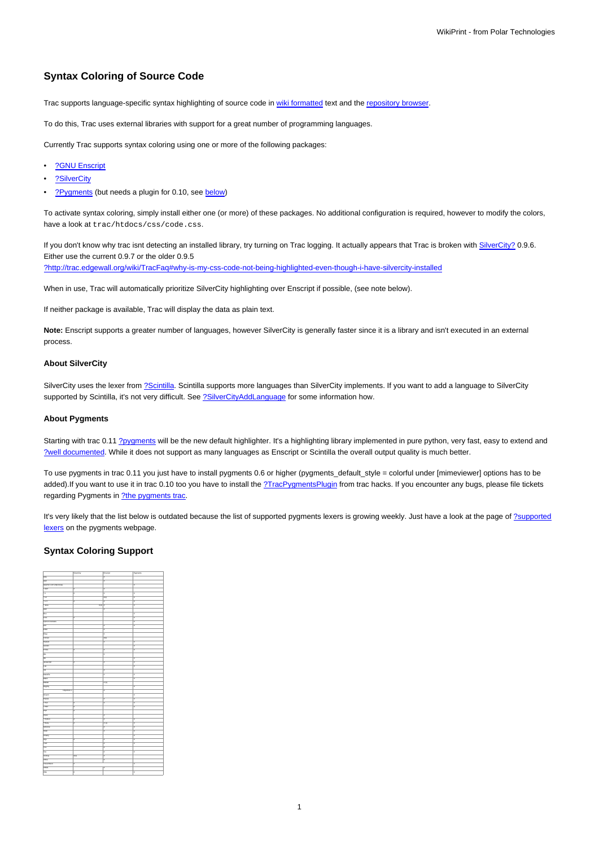# **Syntax Coloring of Source Code**

Trac supports language-specific syntax highlighting of source code in [wiki formatted](https://meteo.unican.es/trac/wiki/WikiFormatting) text and the [repository browser](https://meteo.unican.es/trac/wiki/TracBrowser).

To do this, Trac uses external libraries with support for a great number of programming languages.

Currently Trac supports syntax coloring using one or more of the following packages:

- [?GNU Enscript](http://www.codento.com/people/mtr/genscript/)
- [?SilverCity](http://silvercity.sourceforge.net/)
- [?Pygments](http://pygments.pocoo.org/) (but needs a plugin for 0.10, see [below\)](https://meteo.unican.es/trac/wiki/TracSyntaxColoring#AboutPygments)

To activate syntax coloring, simply install either one (or more) of these packages. No additional configuration is required, however to modify the colors, have a look at trac/htdocs/css/code.css.

If you don't know why trac isnt detecting an installed library, try turning on Trac logging. It actually appears that Trac is broken with SilverCity? 0.9.6. Either use the current 0.9.7 or the older 0.9.5 [?http://trac.edgewall.org/wiki/TracFaq#why-is-my-css-code-not-being-highlighted-even-though-i-have-silvercity-installed](http://trac.edgewall.org/wiki/TracFaq#why-is-my-css-code-not-being-highlighted-even-though-i-have-silvercity-installed)

When in use, Trac will automatically prioritize SilverCity highlighting over Enscript if possible, (see note below).

If neither package is available, Trac will display the data as plain text.

**Note:** Enscript supports a greater number of languages, however SilverCity is generally faster since it is a library and isn't executed in an external process.

#### **About SilverCity**

SilverCity uses the lexer from [?Scintilla](http://www.scintilla.org/). Scintilla supports more languages than SilverCity implements. If you want to add a language to SilverCity supported by Scintilla, it's not very difficult. See [?SilverCityAddLanguage](http://trac.edgewall.org/wiki/SilverCityAddLanguage) for some information how.

#### **About Pygments**

Starting with trac 0.11 [?pygments](http://pygments.org/) will be the new default highlighter. It's a highlighting library implemented in pure python, very fast, easy to extend and [?well documented.](http://pygments.org/docs/) While it does not support as many languages as Enscript or Scintilla the overall output quality is much better.

To use pygments in trac 0.11 you just have to install pygments 0.6 or higher (pygments\_default\_style = colorful under [mimeviewer] options has to be added).If you want to use it in trac 0.10 too you have to install the [?TracPygmentsPlugin](http://trac-hacks.org/wiki/TracPygmentsPlugin) from trac hacks. If you encounter any bugs, please file tickets regarding Pygments in [?the pygments trac](http://dev.pocoo.org/projects/pygments/).

It's very likely that the list below is outdated because the list of supported pygments lexers is growing weekly. Just have a look at the page of [?supported](http://pygments.org/docs/lexers/) [lexers](http://pygments.org/docs/lexers/) on the pygments webpage.

### **Syntax Coloring Support**

|                        | SilverDity      | Enscript | Pygments |
|------------------------|-----------------|----------|----------|
| $\overline{AB}$        |                 | x        |          |
| Asn                    |                 | ×        |          |
| Apache Conf (htaccess) |                 |          | ×        |
| · ASP                  | x               | x        |          |
| $\cdot c$              | x               | x        | π        |
| $rac{1}{2}$            |                 | x(2)     | π        |
| $-6 + 1$               | x               | x        | ×        |
| $-2na$                 | $X(4)$   $X$    |          | ×        |
| Auk                    |                 | x        |          |
| Roo                    |                 |          | π        |
| css                    | x               |          | ×        |
| Pythan Doctests        |                 |          | ×        |
| ρa                     |                 | x        | ×        |
| Eithel                 |                 | x        |          |
| Eliap                  |                 | x        |          |
| Forras                 |                 | X(2)     |          |
| Hadul                  |                 | x        | z        |
| Genchi                 |                 |          | z        |
| <b>HTML</b>            | x               | x        | π        |
| is.                    |                 | x        |          |
| $\overline{m}$         |                 |          | E        |
| Javascript             | k               | X        | E        |
| Lua                    |                 |          | k        |
| $\overline{m}$         |                 | x        |          |
| Makelile               |                 | x        | π        |
| Mako                   |                 |          | E        |
| Mariab                 |                 | X(5)     |          |
| Mygthy                 |                 |          | π        |
| Objective C<br>г       |                 | x        |          |
| OCami                  |                 |          | F        |
| Pascal                 |                 | x        | ×        |
| $\cdot$ Pad            | x               | x        | ×        |
| $-$ PhiP               | x               |          | ×        |
| PSP                    | x               |          |          |
| Pytes                  |                 | x        |          |
| · Pythan               | x               | x        | z        |
| · Ruby                 | x               | X(3)     | π        |
| Schame                 |                 | Ιx       | Ε        |
| Shell                  |                 | x        | π        |
| Smany                  |                 |          | ×        |
| 900                    | ×               | x        | ×        |
| Trut                   |                 | x        | π        |
| $\overline{\text{ra}}$ |                 | x        |          |
| Tes                    |                 | x        | ×        |
| Vering                 | $X(\mathbf{C})$ | x        |          |
| <b>VHDL</b>            |                 | Χ        |          |
| <b>Visual Basic</b>    | ×               |          | π        |
| <b>VRML</b>            |                 | x        |          |
| XML                    | ×               |          | E        |